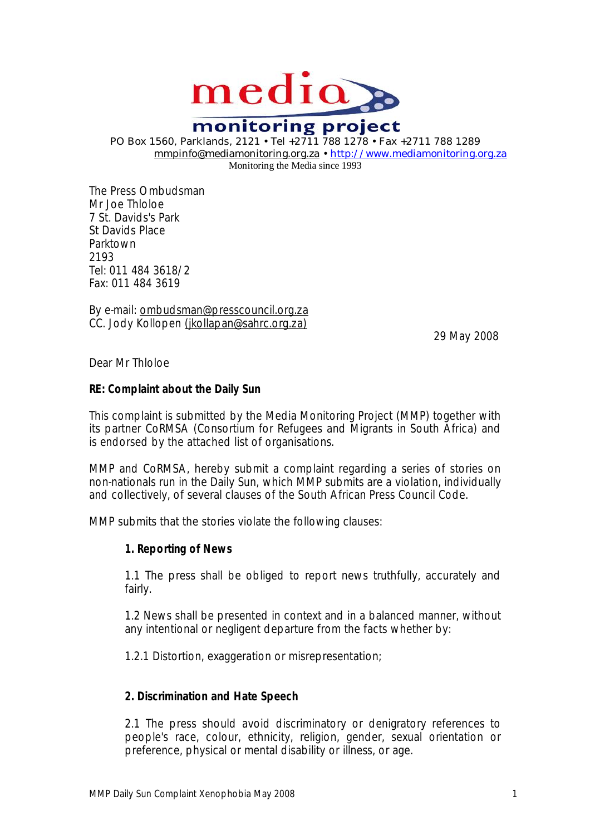

monitoring project PO Box 1560, Parklands, 2121 • Tel +2711 788 1278 • Fax +2711 788 1289 [mmpinfo@mediamonitoring.org.za](mailto:mmpinfo@mediamonitoring.org.za) • <http://www.mediamonitoring.org.za>

Monitoring the Media since 1993

The Press Ombudsman Mr Joe Thloloe 7 St. Davids's Park St Davids Place Parktown 2193 Tel: 011 484 3618/2 Fax: 011 484 3619

By e-mail: [ombudsman@presscouncil.org.za](mailto:ombudsman@presscouncil.org.za) CC. Jody Kollopen [\(jkollapan@sahrc.org.za\)](mailto:(jkollapan@sahrc.org.za))

29 May 2008

Dear Mr Thloloe

**RE: Complaint about the** *Daily Sun*

This complaint is submitted by the Media Monitoring Project (MMP) together with its partner CoRMSA (Consortium for Refugees and Migrants in South Africa) and is endorsed by the attached list of organisations.

MMP and CoRMSA, hereby submit a complaint regarding a series of stories on non-nationals run in the *Daily Sun*, which MMP submits are a violation, individually and collectively, of several clauses of the South African Press Council Code.

MMP submits that the stories violate the following clauses:

**1. Reporting of News**

1.1 The press shall be obliged to report news truthfully, accurately and fairly.

1.2 News shall be presented in context and in a balanced manner, without any intentional or negligent departure from the facts whether by:

1.2.1 Distortion, exaggeration or misrepresentation;

**2. Discrimination and Hate Speech**

2.1 The press should avoid discriminatory or denigratory references to people's race, colour, ethnicity, religion, gender, sexual orientation or preference, physical or mental disability or illness, or age.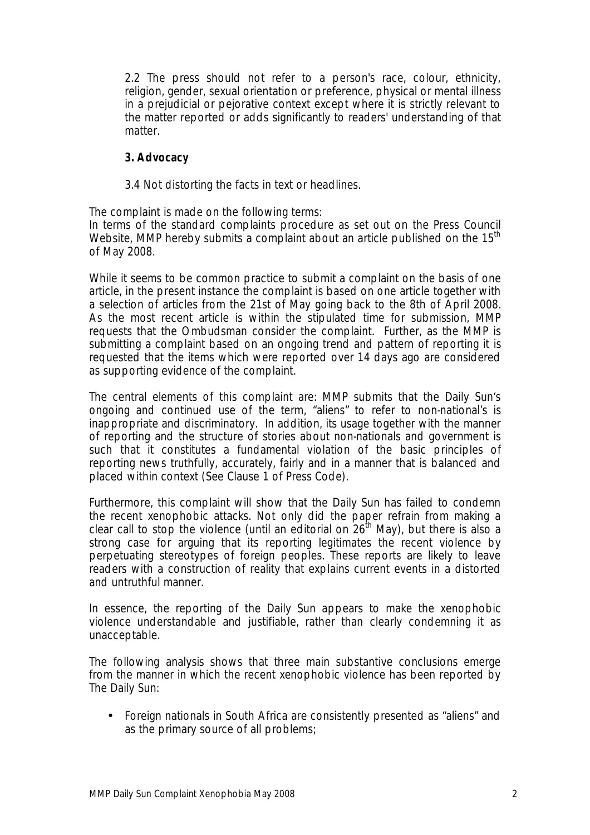2.2 The press should not refer to a person's race, colour, ethnicity, religion, gender, sexual orientation or preference, physical or mental illness in a prejudicial or pejorative context except where it is strictly relevant to the matter reported or adds significantly to readers' understanding of that matter.

- **3. Advocacy**
- 3.4 Not distorting the facts in text or headlines.

The complaint is made on the following terms:

In terms of the standard complaints procedure as set out on the Press Council Website, MMP hereby submits a complaint about an article published on the  $15<sup>th</sup>$ of May 2008.

While it seems to be common practice to submit a complaint on the basis of one article, in the present instance the complaint is based on one article together with a selection of articles from the 21st of May going back to the 8th of April 2008. As the most recent article is within the stipulated time for submission, MMP requests that the Ombudsman consider the complaint. Further, as the MMP is submitting a complaint based on an ongoing trend and pattern of reporting it is requested that the items which were reported over 14 days ago are considered as supporting evidence of the complaint.

The central elements of this complaint are: MMP submits that the *Daily Sun*'s ongoing and continued use of the term, "aliens" to refer to non-national's is inappropriate and discriminatory. In addition, its usage together with the manner of reporting and the structure of stories about non-nationals and government is such that it constitutes a fundamental violation of the basic principles of reporting news truthfully, accurately, fairly and in a manner that is balanced and placed within context (See Clause 1 of Press Code).

Furthermore, this complaint will show that the *Daily Sun* has failed to condemn the recent xenophobic attacks. Not only did the paper refrain from making a clear call to stop the violence (until an editorial on 26<sup>th</sup> May), but there is also a strong case for arguing that its reporting legitimates the recent violence by perpetuating stereotypes of foreign peoples. These reports are likely to leave readers with a construction of reality that explains current events in a distorted and untruthful manner.

In essence, the reporting of the *Daily Sun* appears to make the xenophobic violence understandable and justifiable, rather than clearly condemning it as unacceptable.

The following analysis shows that three main substantive conclusions emerge from the manner in which the recent xenophobic violence has been reported by *The Daily Sun*:

• Foreign nationals in South Africa are consistently presented as "aliens" and as the primary source of all problems;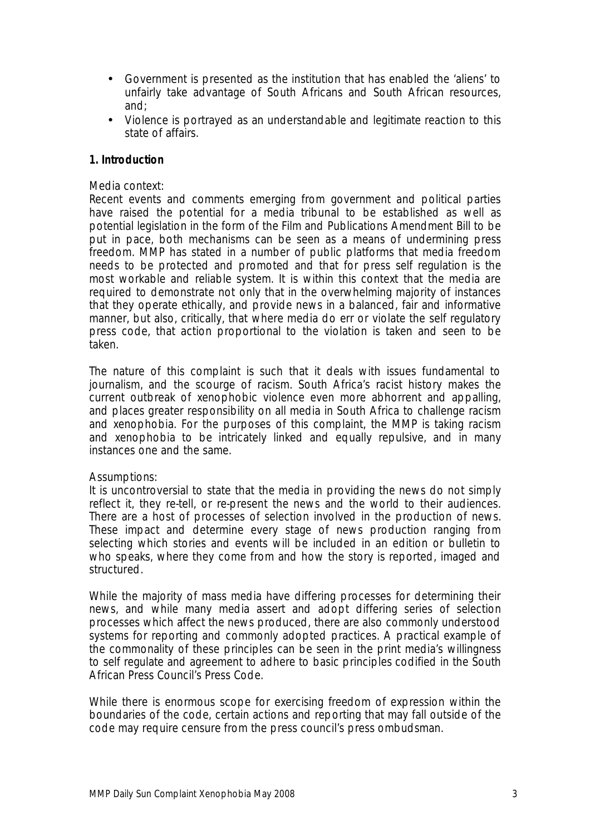- Government is presented as the institution that has enabled the 'aliens' to unfairly take advantage of South Africans and South African resources, and;
- Violence is portrayed as an understandable and legitimate reaction to this state of affairs.

### **1. Introduction**

### Media context:

Recent events and comments emerging from government and political parties have raised the potential for a media tribunal to be established as well as potential legislation in the form of the Film and Publications Amendment Bill to be put in pace, both mechanisms can be seen as a means of undermining press freedom. MMP has stated in a number of public platforms that media freedom needs to be protected and promoted and that for press self regulation is the most workable and reliable system. It is within this context that the media are required to demonstrate not only that in the overwhelming majority of instances that they operate ethically, and provide news in a balanced, fair and informative manner, but also, critically, that where media do err or violate the self regulatory press code, that action proportional to the violation is taken and seen to be taken.

The nature of this complaint is such that it deals with issues fundamental to journalism, and the scourge of racism. South Africa's racist history makes the current outbreak of xenophobic violence even more abhorrent and appalling, and places greater responsibility on all media in South Africa to challenge racism and xenophobia. For the purposes of this complaint, the MMP is taking racism and xenophobia to be intricately linked and equally repulsive, and in many instances one and the same.

### Assumptions:

It is uncontroversial to state that the media in providing the news do not simply reflect it, they re-tell, or re-present the news and the world to their audiences. There are a host of processes of selection involved in the production of news. These impact and determine every stage of news production ranging from selecting which stories and events will be included in an edition or bulletin to who speaks, where they come from and how the story is reported, imaged and structured.

While the majority of mass media have differing processes for determining their news, and while many media assert and adopt differing series of selection processes which affect the news produced, there are also commonly understood systems for reporting and commonly adopted practices. A practical example of the commonality of these principles can be seen in the print media's willingness to self regulate and agreement to adhere to basic principles codified in the South African Press Council's Press Code.

While there is enormous scope for exercising freedom of expression within the boundaries of the code, certain actions and reporting that may fall outside of the code may require censure from the press council's press ombudsman.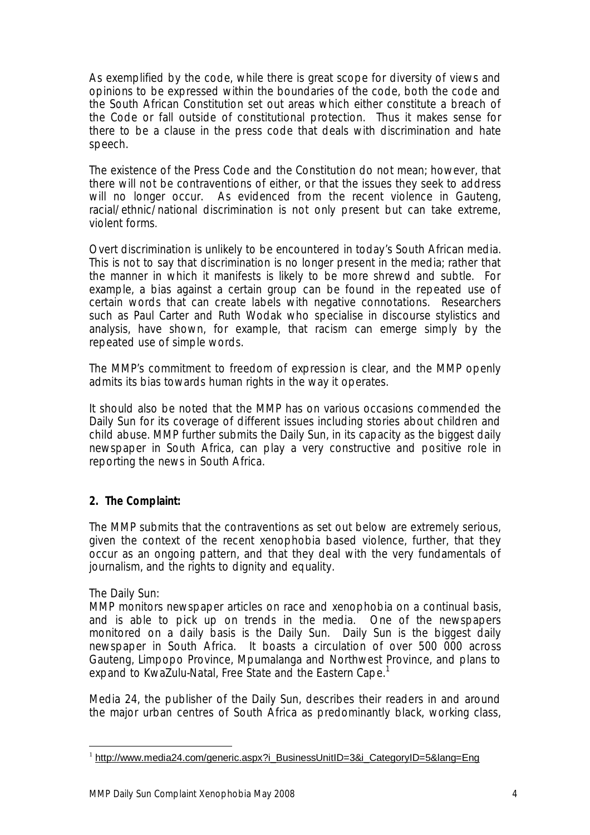As exemplified by the code, while there is great scope for diversity of views and opinions to be expressed within the boundaries of the code, both the code and the South African Constitution set out areas which either constitute a breach of the Code or fall outside of constitutional protection. Thus it makes sense for there to be a clause in the press code that deals with discrimination and hate speech.

The existence of the Press Code and the Constitution do not mean; however, that there will not be contraventions of either, or that the issues they seek to address will no longer occur. As evidenced from the recent violence in Gauteng, racial/ethnic/national discrimination is not only present but can take extreme, violent forms.

Overt discrimination is unlikely to be encountered in today's South African media. This is not to say that discrimination is no longer present in the media; rather that the manner in which it manifests is likely to be more shrewd and subtle. For example, a bias against a certain group can be found in the repeated use of certain words that can create labels with negative connotations. Researchers such as Paul Carter and Ruth Wodak who specialise in discourse stylistics and analysis, have shown, for example, that racism can emerge simply by the repeated use of simple words.

The MMP's commitment to freedom of expression is clear, and the MMP openly admits its bias towards human rights in the way it operates.

It should also be noted that the MMP has on various occasions commended the *Daily Sun* for its coverage of different issues including stories about children and child abuse. MMP further submits the *Daily Sun,* in its capacity as the biggest daily newspaper in South Africa, can play a very constructive and positive role in reporting the news in South Africa.

**2. The Complaint:** 

The MMP submits that the contraventions as set out below are extremely serious, given the context of the recent xenophobia based violence, further, that they occur as an ongoing pattern, and that they deal with the very fundamentals of journalism, and the rights to dignity and equality.

## The *Daily Sun*:

 $\overline{a}$ 

MMP monitors newspaper articles on race and xenophobia on a continual basis, and is able to pick up on trends in the media. One of the newspapers monitored on a daily basis is the *Daily Sun*. *Daily Sun* is the biggest daily newspaper in South Africa. It boasts a circulation of over 500 000 across Gauteng, Limpopo Province, Mpumalanga and Northwest Province, and plans to expand to KwaZulu-Natal, Free State and the Eastern Cape.<sup>1</sup>

Media 24, the publisher of the *Daily Sun*, describes their readers in and around the major urban centres of South Africa as predominantly black, working class,

<sup>&</sup>lt;sup>1</sup> [http://www.media24.com/generic.aspx?i\\_BusinessUnitID=3&i\\_CategoryID=5&lang=Eng](http://www.media24.com/generic.aspx?i_BusinessUnitID=3&i_CategoryID=5&lang=Eng)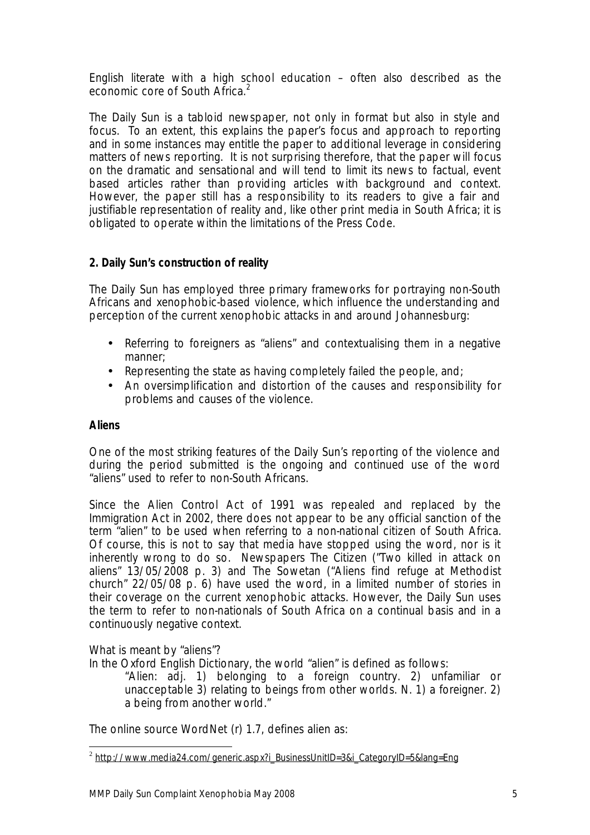English literate with a high school education – often also described as the economic core of South Africa.<sup>2</sup>

The *Daily Sun* is a tabloid newspaper, not only in format but also in style and focus. To an extent, this explains the paper's focus and approach to reporting and in some instances may entitle the paper to additional leverage in considering matters of news reporting. It is not surprising therefore, that the paper will focus on the dramatic and sensational and will tend to limit its news to factual, event based articles rather than providing articles with background and context. However, the paper still has a responsibility to its readers to give a fair and justifiable representation of reality and, like other print media in South Africa; it is obligated to operate within the limitations of the Press Code.

# **2.** *Daily Sun***'s construction of reality**

The *Daily Sun* has employed three primary frameworks for portraying non-South Africans and xenophobic-based violence, which influence the understanding and perception of the current xenophobic attacks in and around Johannesburg:

- Referring to foreigners as "aliens" and contextualising them in a negative manner;
- Representing the state as having completely failed the people, and;
- An oversimplification and distortion of the causes and responsibility for problems and causes of the violence.

## **Aliens**

One of the most striking features of the *Daily Sun's* reporting of the violence and during the period submitted is the ongoing and continued use of the word "aliens" used to refer to non-South Africans.

Since the Alien Control Act of 1991 was repealed and replaced by the Immigration Act in 2002, there does not appear to be any official sanction of the term "alien" to be used when referring to a non-national citizen of South Africa. Of course, this is not to say that media have stopped using the word, nor is it inherently wrong to do so. Newspapers *The Citizen* ("Two killed in attack on aliens" 13/05/2008 p. 3) and *The Sowetan (*"Aliens find refuge at Methodist church" 22/05/08 p. 6) have used the word, in a limited number of stories in their coverage on the current xenophobic attacks. However, the *Daily Sun* uses the term to refer to non-nationals of South Africa on a continual basis and in a continuously negative context.

What is meant by "aliens"?

In the Oxford English Dictionary, the world "alien" is defined as follows:

"Alien: adj. 1) belonging to a foreign country. 2) unfamiliar or unacceptable 3) relating to beings from other worlds. N. 1) a foreigner. 2) a being from another world."

The online source WordNet (r) 1.7, defines alien as:

 $\overline{a}$ <sup>2</sup> [http://www.media24.com/generic.aspx?i\\_BusinessUnitID=3&i\\_CategoryID=5&lang=Eng](http://www.media24.com/generic.aspx?i_BusinessUnitID=3&i_CategoryID=5&lang=Eng)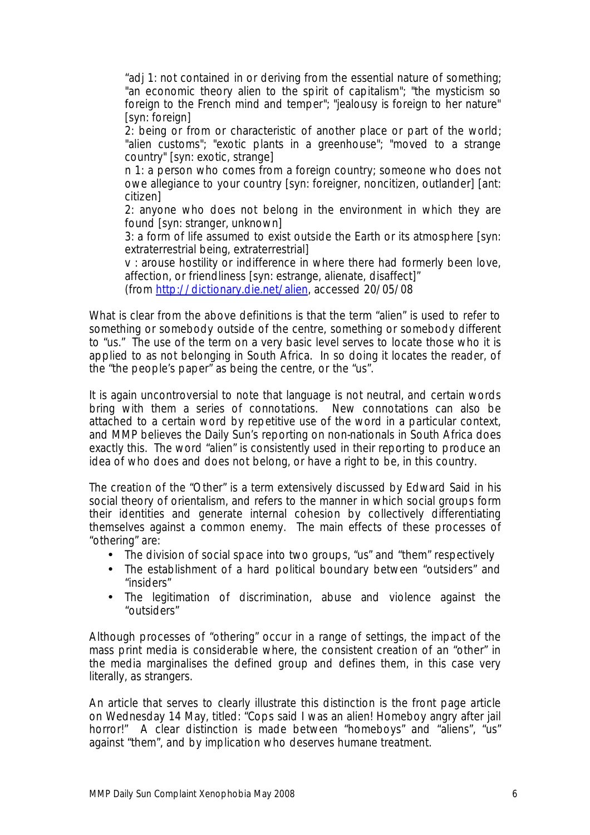"adj 1: not contained in or deriving from the essential nature of something; "an economic theory alien to the spirit of capitalism"; "the mysticism so foreign to the French mind and temper"; "jealousy is foreign to her nature" [syn: foreign]

2: being or from or characteristic of another place or part of the world; "alien customs"; "exotic plants in a greenhouse"; "moved to a strange country" [syn: exotic, strange]

n 1: a person who comes from a foreign country; someone who does not owe allegiance to your country [syn: foreigner, noncitizen, outlander] [ant: citizen]

2: anyone who does not belong in the environment in which they are found [syn: stranger, unknown]

3: a form of life assumed to exist outside the Earth or its atmosphere [syn: extraterrestrial being, extraterrestrial]

v : arouse hostility or indifference in where there had formerly been love, affection, or friendliness [syn: estrange, alienate, disaffect]"

(from [http://dictionary.die.net/alien,](http://dictionary.die.net/alien) accessed 20/05/08

What is clear from the above definitions is that the term "alien" is used to refer to something or somebody outside of the centre, something or somebody different to "us." The use of the term on a very basic level serves to locate those who it is applied to as not belonging in South Africa. In so doing it locates the reader, of the "the people's paper" as being the centre, or the "us".

It is again uncontroversial to note that language is not neutral, and certain words bring with them a series of connotations. New connotations can also be attached to a certain word by repetitive use of the word in a particular context, and MMP believes the *Daily Sun's* reporting on non-nationals in South Africa does exactly this. The word "alien" is consistently used in their reporting to produce an idea of who does and does not belong, or have a right to be, in this country.

The creation of the "Other" is a term extensively discussed by Edward Said in his social theory of orientalism, and refers to the manner in which social groups form their identities and generate internal cohesion by collectively differentiating themselves against a common enemy. The main effects of these processes of "othering" are:

- The division of social space into two groups, "us" and "them" respectively
- The establishment of a hard political boundary between "outsiders" and "insiders"
- The legitimation of discrimination, abuse and violence against the "outsiders"

Although processes of "othering" occur in a range of settings, the impact of the mass print media is considerable where, the consistent creation of an "other" in the media marginalises the defined group and defines them, in this case very literally, as strangers.

An article that serves to clearly illustrate this distinction is the front page article on Wednesday 14 May, titled: "Cops said I was an alien! Homeboy angry after jail horror!" A clear distinction is made between "homeboys" and "aliens", "us" against "them", and by implication who deserves humane treatment.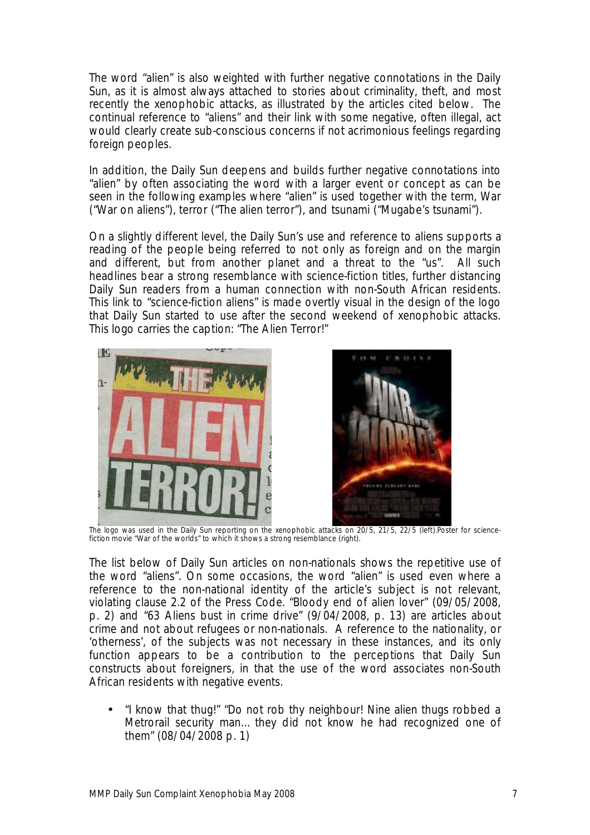The word "alien" is also weighted with further negative connotations in the *Daily Sun,* as it is almost always attached to stories about criminality, theft, and most recently the xenophobic attacks, as illustrated by the articles cited below. The continual reference to "aliens" and their link with some negative, often illegal, act would clearly create sub-conscious concerns if not acrimonious feelings regarding foreign peoples.

In addition, the *Daily Sun* deepens and builds further negative connotations into "alien" by often associating the word with a larger event or concept as can be seen in the following examples where "alien" is used together with the term, War ("War on aliens"), terror ("The alien terror"), and tsunami ("Mugabe's tsunami").

On a slightly different level, the *Daily Sun's* use and reference to aliens supports a reading of the people being referred to not only as foreign and on the margin and different, but from another planet and a threat to the "us". All such headlines bear a strong resemblance with science-fiction titles, further distancing *Daily Sun* readers from a human connection with non-South African residents. This link to "science-fiction aliens" is made overtly visual in the design of the logo that *Daily Sun* started to use after the second weekend of xenophobic attacks. This logo carries the caption: "The Alien Terror!"





 The logo was used in the Daily Sun reporting on the xenophobic attacks on 20/5, 21/5, 22/5 (left).Poster for sciencefiction movie "War of the worlds" to which it shows a strong resemblance (right).

The list below of *Daily Sun* articles on non-nationals shows the repetitive use of the word "aliens". On some occasions, the word "alien" is used even where a reference to the non-national identity of the article's subject is not relevant, violating clause 2.2 of the Press Code. "Bloody end of alien lover" (09/05/2008, p. 2) and "63 Aliens bust in crime drive" (9/04/2008, p. 13) are articles about crime and not about refugees or non-nationals. A reference to the nationality, or 'otherness', of the subjects was not necessary in these instances, and its only function appears to be a contribution to the perceptions that *Daily Sun* constructs about foreigners, in that the use of the word associates non-South African residents with negative events.

• "I know that thug!" "Do not rob thy neighbour! Nine alien thugs robbed a Metrorail security man… they did not know he had recognized one of them" (08/04/2008 p. 1)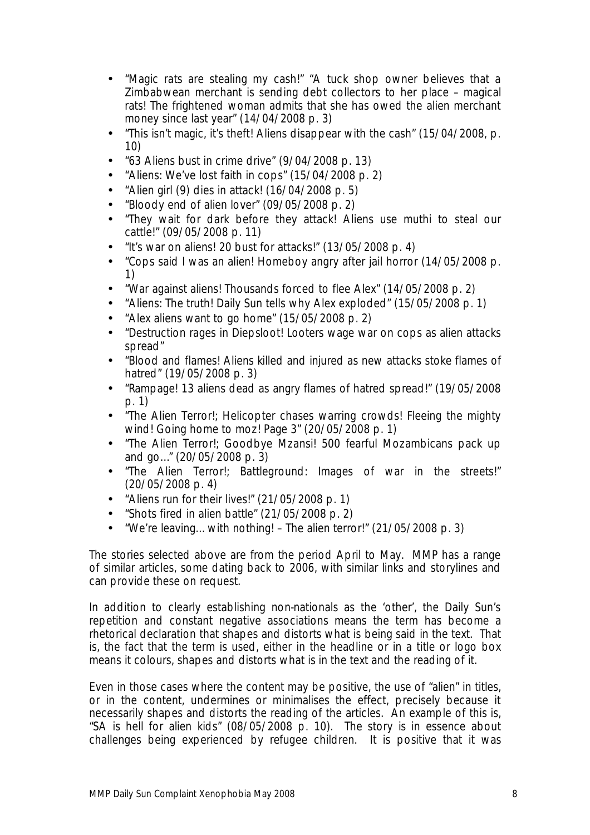- "Magic rats are stealing my cash!" "A tuck shop owner believes that a Zimbabwean merchant is sending debt collectors to her place – magical rats! The frightened woman admits that she has owed the alien merchant money since last year" (14/04/2008 p. 3)
- "This isn't magic, it's theft! Aliens disappear with the cash" (15/04/2008, p. 10)
- "63 Aliens bust in crime drive" (9/04/2008 p. 13)
- "Aliens: We've lost faith in cops" (15/04/2008 p. 2)
- "Alien girl (9) dies in attack! (16/04/2008 p. 5)
- "Bloody end of alien lover"  $(09/05/2008$  p. 2)
- "They wait for dark before they attack! Aliens use muthi to steal our cattle!" (09/05/2008 p. 11)
- "It's war on aliens! 20 bust for attacks!"  $(13/05/2008 \text{ p. } 4)$
- "Cops said I was an alien! Homeboy angry after jail horror (14/05/2008 p. 1)
- "War against aliens! Thousands forced to flee Alex" (14/05/2008 p. 2)
- "Aliens: The truth! *Daily Sun* tells why Alex exploded" (15/05/2008 p. 1)
- "Alex aliens want to go home" (15/05/2008 p. 2)
- "Destruction rages in Diepsloot! Looters wage war on cops as alien attacks spread"
- "Blood and flames! Aliens killed and injured as new attacks stoke flames of hatred" (19/05/2008 p. 3)
- "Rampage! 13 aliens dead as angry flames of hatred spread!" (19/05/2008 p. 1)
- "The Alien Terror!; Helicopter chases warring crowds! Fleeing the mighty wind! Going home to moz! Page 3" (20/05/2008 p. 1)
- "The Alien Terror!; Goodbye Mzansi! 500 fearful Mozambicans pack up and go…" (20/05/2008 p. 3)
- "The Alien Terror!; Battleground: Images of war in the streets!" (20/05/2008 p. 4)
- "Aliens run for their lives!" (21/05/2008 p. 1)
- "Shots fired in alien battle" (21/05/2008 p. 2)
- "We're leaving… with nothing! The alien terror!" (21/05/2008 p. 3)

The stories selected above are from the period April to May. MMP has a range of similar articles, some dating back to 2006, with similar links and storylines and can provide these on request.

In addition to clearly establishing non-nationals as the 'other', the *Daily Sun's* repetition and constant negative associations means the term has become a rhetorical declaration that shapes and distorts what is being said in the text. That is, the fact that the term is used, either in the headline or in a title or logo box means it colours, shapes and distorts what is in the text and the reading of it.

Even in those cases where the content may be positive, the use of "alien" in titles, or in the content, undermines or minimalises the effect, precisely because it necessarily shapes and distorts the reading of the articles. An example of this is, "SA is hell for alien kids" (08/05/2008 p. 10). The story is in essence about challenges being experienced by refugee children. It is positive that it was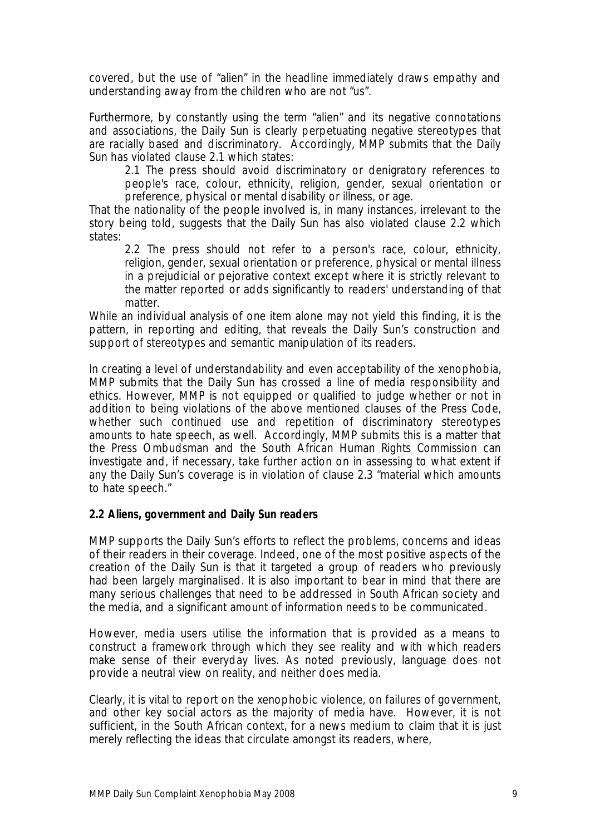covered, but the use of "alien" in the headline immediately draws empathy and understanding away from the children who are not "us".

Furthermore, by constantly using the term "alien" and its negative connotations and associations, the *Daily Sun* is clearly perpetuating negative stereotypes that are racially based and discriminatory. Accordingly, MMP submits that the *Daily Sun* has violated clause 2.1 which states:

2.1 The press should avoid discriminatory or denigratory references to people's race, colour, ethnicity, religion, gender, sexual orientation or preference, physical or mental disability or illness, or age.

That the nationality of the people involved is, in many instances, irrelevant to the story being told, suggests that the *Daily Sun* has also violated clause 2.2 which states:

2.2 The press should not refer to a person's race, colour, ethnicity, religion, gender, sexual orientation or preference, physical or mental illness in a prejudicial or pejorative context except where it is strictly relevant to the matter reported or adds significantly to readers' understanding of that matter.

While an individual analysis of one item alone may not yield this finding, it is the pattern, in reporting and editing, that reveals the *Daily Sun's* construction and support of stereotypes and semantic manipulation of its readers.

In creating a level of understandability and even acceptability of the xenophobia, MMP submits that the *Daily Sun* has crossed a line of media responsibility and ethics. However, MMP is not equipped or qualified to judge whether or not in addition to being violations of the above mentioned clauses of the Press Code, whether such continued use and repetition of discriminatory stereotypes amounts to hate speech, as well. Accordingly, MMP submits this is a matter that the Press Ombudsman and the South African Human Rights Commission can investigate and, if necessary, take further action on in assessing to what extent if any the *Daily Sun's* coverage is in violation of clause 2.3 "material which amounts to hate speech."

### **2.2 Aliens, government and** *Daily Sun* **readers**

MMP supports the *Daily Sun's* efforts to reflect the problems, concerns and ideas of their readers in their coverage. Indeed, one of the most positive aspects of the creation of the *Daily Sun* is that it targeted a group of readers who previously had been largely marginalised. It is also important to bear in mind that there are many serious challenges that need to be addressed in South African society and the media, and a significant amount of information needs to be communicated.

However, media users utilise the information that is provided as a means to construct a framework through which they see reality and with which readers make sense of their everyday lives. As noted previously, language does not provide a neutral view on reality, and neither does media.

Clearly, it is vital to report on the xenophobic violence, on failures of government, and other key social actors as the majority of media have. However, it is not sufficient, in the South African context, for a news medium to claim that it is just merely reflecting the ideas that circulate amongst its readers, where,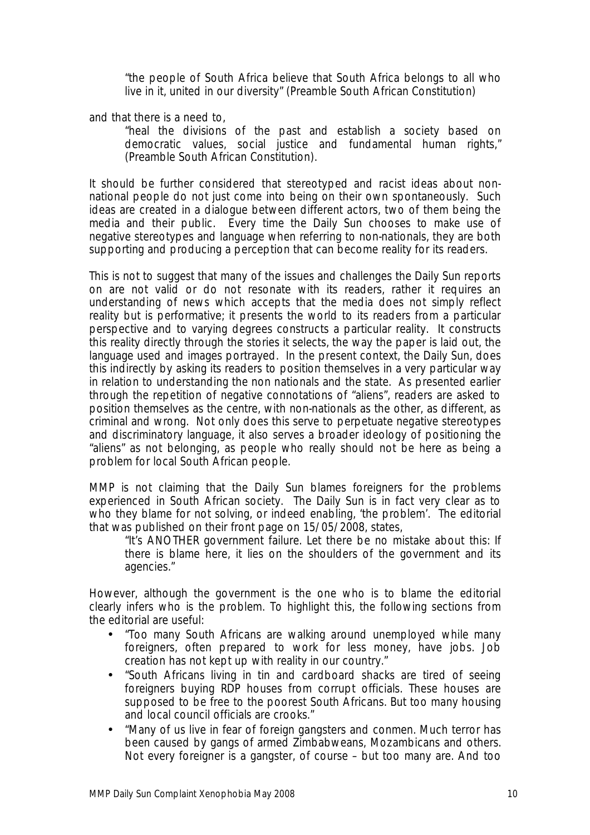"the people of South Africa believe that South Africa belongs to all who live in it, united in our diversity" (Preamble South African Constitution)

and that there is a need to,

"heal the divisions of the past and establish a society based on democratic values, social justice and fundamental human rights," (Preamble South African Constitution).

It should be further considered that stereotyped and racist ideas about nonnational people do not just come into being on their own spontaneously. Such ideas are created in a dialogue between different actors, two of them being the media and their public. Every time the *Daily Sun* chooses to make use of negative stereotypes and language when referring to non-nationals, they are both supporting and producing a perception that can become reality for its readers.

This is not to suggest that many of the issues and challenges the *Daily Sun* reports on are not valid or do not resonate with its readers, rather it requires an understanding of news which accepts that the media does not simply reflect reality but is performative; it presents the world to its readers from a particular perspective and to varying degrees constructs a particular reality. It constructs this reality directly through the stories it selects, the way the paper is laid out, the language used and images portrayed. In the present context, the *Daily Sun*, does this indirectly by asking its readers to position themselves in a very particular way in relation to understanding the non nationals and the state. As presented earlier through the repetition of negative connotations of "aliens", readers are asked to position themselves as the centre, with non-nationals as the other, as different, as criminal and wrong. Not only does this serve to perpetuate negative stereotypes and discriminatory language, it also serves a broader ideology of positioning the "aliens" as not belonging, as people who really should not be here as being a problem for local South African people.

MMP is not claiming that the *Daily Sun* blames foreigners for the problems experienced in South African society. The *Daily Sun* is in fact very clear as to who they blame for not solving, or indeed enabling, 'the problem'. The editorial that was published on their front page on 15/05/2008, states,

"It's ANOTHER government failure. Let there be no mistake about this: If there is blame here, it lies on the shoulders of the government and its agencies."

However, although the government is the one who is to blame the editorial clearly infers *who* is the problem. To highlight this, the following sections from the editorial are useful:

- "Too many South Africans are walking around unemployed while many foreigners, often prepared to work for less money, have jobs. Job creation has not kept up with reality in our country."
- "South Africans living in tin and cardboard shacks are tired of seeing foreigners buying RDP houses from corrupt officials. These houses are supposed to be free to the poorest South Africans. But too many housing and local council officials are crooks."
- "Many of us live in fear of foreign gangsters and conmen. Much terror has been caused by gangs of armed Zimbabweans, Mozambicans and others. Not every foreigner is a gangster, of course – but too many are. And too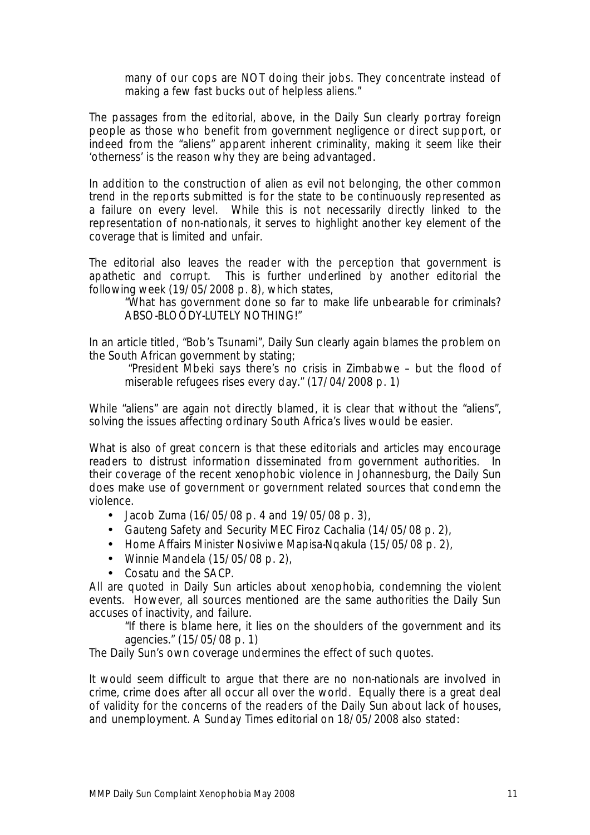many of our cops are NOT doing their jobs. They concentrate instead of making a few fast bucks out of helpless aliens."

The passages from the editorial, above, in the *Daily Sun* clearly portray foreign people as those who benefit from government negligence or direct support, or indeed from the "aliens" apparent inherent criminality, making it seem like their 'otherness' is the reason why they are being advantaged.

In addition to the construction of alien as evil not belonging, the other common trend in the reports submitted is for the state to be continuously represented as a failure on every level. While this is not necessarily directly linked to the representation of non-nationals, it serves to highlight another key element of the coverage that is limited and unfair.

The editorial also leaves the reader with the perception that government is apathetic and corrupt. This is further underlined by another editorial the following week (19/05/2008 p. 8), which states,

"What has government done so far to make life unbearable for criminals? ABSO-BLOODY-LUTELY NOTHING!"

In an article titled, "Bob's Tsunami", *Daily Sun* clearly again blames the problem on the South African government by stating;

"President Mbeki says there's no crisis in Zimbabwe – but the flood of miserable refugees rises every day." (17/04/2008 p. 1)

While "aliens" are again not directly blamed, it is clear that without the "aliens", solving the issues affecting ordinary South Africa's lives would be easier.

What is also of great concern is that these editorials and articles may encourage readers to distrust information disseminated from government authorities. In their coverage of the recent xenophobic violence in Johannesburg, the *Daily Sun* does make use of government or government related sources that condemn the violence.

- Jacob Zuma (16/05/08 p. 4 and 19/05/08 p. 3),
- Gauteng Safety and Security MEC Firoz Cachalia (14/05/08 p. 2),
- Home Affairs Minister Nosiviwe Mapisa-Nqakula (15/05/08 p. 2),
- Winnie Mandela (15/05/08 p. 2),
- Cosatu and the SACP.

All are quoted in *Daily Sun* articles about xenophobia, condemning the violent events. However, all sources mentioned are the same authorities the *Daily Sun* accuses of inactivity, and failure.

"If there is blame here, it lies on the shoulders of the government and its agencies." (15/05/08 p. 1)

The *Daily Sun's* own coverage undermines the effect of such quotes.

It would seem difficult to argue that there are no non-nationals are involved in crime, crime does after all occur all over the world. Equally there is a great deal of validity for the concerns of the readers of the *Daily Sun* about lack of houses, and unemployment. A Sunday Times editorial on 18/05/2008 also stated: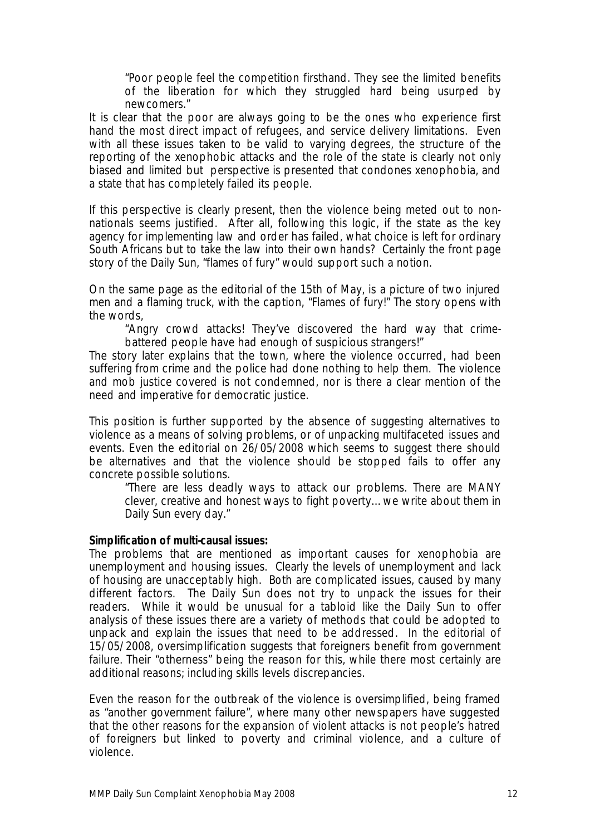"Poor people feel the competition firsthand. They see the limited benefits of the liberation for which they struggled hard being usurped by newcomers."

It is clear that the poor are always going to be the ones who experience first hand the most direct impact of refugees, and service delivery limitations. Even with all these issues taken to be valid to varying degrees, the structure of the reporting of the xenophobic attacks and the role of the state is clearly not only biased and limited but perspective is presented that condones xenophobia, and a state that has completely failed its people.

If this perspective is clearly present, then the violence being meted out to nonnationals seems justified. After all, following this logic, if the state as the key agency for implementing law and order has failed, what choice is left for ordinary South Africans but to take the law into their own hands? Certainly the front page story of the *Daily Sun*, "flames of fury" would support such a notion.

On the same page as the editorial of the 15th of May, is a picture of two injured men and a flaming truck, with the caption, "Flames of fury!" The story opens with the words,

"Angry crowd attacks! They've discovered the hard way that crimebattered people have had enough of suspicious strangers!"

The story later explains that the town, where the violence occurred, had been suffering from crime and the police had done nothing to help them. The violence and mob justice covered is not condemned, nor is there a clear mention of the need and imperative for democratic justice.

This position is further supported by the absence of suggesting alternatives to violence as a means of solving problems, or of unpacking multifaceted issues and events. Even the editorial on 26/05/2008 which seems to suggest there should be alternatives and that the violence should be stopped fails to offer any concrete possible solutions.

"There are less deadly ways to attack our problems. There are MANY clever, creative and honest ways to fight poverty… we write about them in *Daily Sun* every day."

**Simplification of multi-causal issues:**

The problems that are mentioned as important causes for xenophobia are unemployment and housing issues. Clearly the levels of unemployment and lack of housing are unacceptably high. Both are complicated issues, caused by many different factors. The *Daily Sun* does not try to unpack the issues for their readers. While it would be unusual for a tabloid like the *Daily Sun* to offer analysis of these issues there are a variety of methods that could be adopted to unpack and explain the issues that need to be addressed. In the editorial of 15/05/2008, oversimplification suggests that foreigners benefit from government failure. Their "otherness" being the reason for this, while there most certainly are additional reasons; including skills levels discrepancies.

Even the reason for the outbreak of the violence is oversimplified, being framed as "another government failure", where many other newspapers have suggested that the other reasons for the expansion of violent attacks is not people's hatred of foreigners but linked to poverty and criminal violence, and a culture of violence.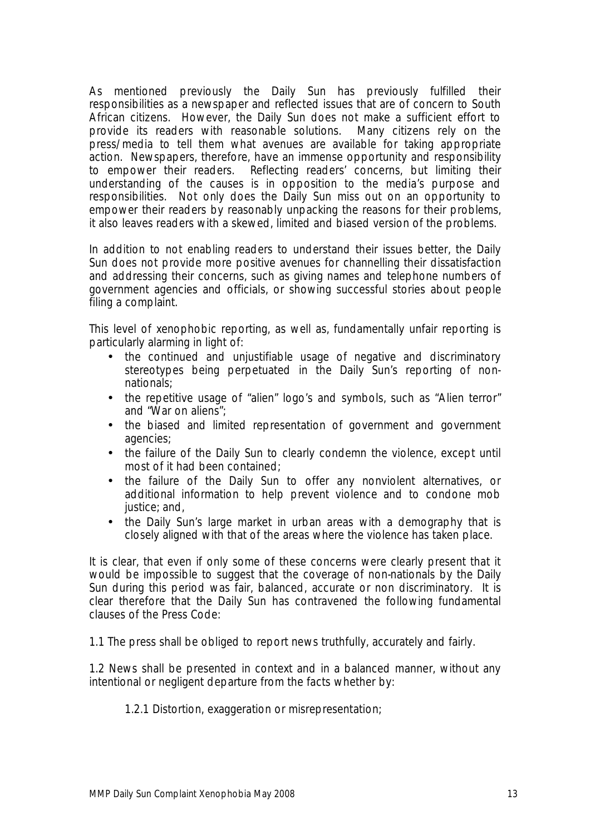As mentioned previously the *Daily Sun* has previously fulfilled their responsibilities as a newspaper and reflected issues that are of concern to South African citizens. However, the *Daily Sun* does not make a sufficient effort to provide its readers with reasonable solutions. Many citizens rely on the press/media to tell them what avenues are available for taking appropriate action. Newspapers, therefore, have an immense opportunity and responsibility to empower their readers. Reflecting readers' concerns, but limiting their understanding of the causes is in opposition to the media's purpose and responsibilities. Not only does the *Daily Sun* miss out on an opportunity to empower their readers by reasonably unpacking the reasons for their problems, it also leaves readers with a skewed, limited and biased version of the problems.

In addition to not enabling readers to understand their issues better, the *Daily Sun* does not provide more positive avenues for channelling their dissatisfaction and addressing their concerns, such as giving names and telephone numbers of government agencies and officials, or showing successful stories about people filing a complaint.

This level of xenophobic reporting, as well as, fundamentally unfair reporting is particularly alarming in light of:

- the continued and unjustifiable usage of negative and discriminatory stereotypes being perpetuated in the *Daily Sun's* reporting of nonnationals;
- the repetitive usage of "alien" logo's and symbols, such as "Alien terror" and "War on aliens";
- the biased and limited representation of government and government agencies;
- the failure of the *Daily Sun* to clearly condemn the violence, except until most of it had been contained;
- the failure of the *Daily Sun* to offer any nonviolent alternatives, or additional information to help prevent violence and to condone mob justice; and,
- the *Daily Sun's* large market in urban areas with a demography that is closely aligned with that of the areas where the violence has taken place.

It is clear, that even if only some of these concerns were clearly present that it would be impossible to suggest that the coverage of non-nationals by the *Daily Sun* during this period was fair, balanced, accurate or non discriminatory. It is clear therefore that the *Daily Sun* has contravened the following fundamental clauses of the Press Code:

1.1 The press shall be obliged to report news truthfully, accurately and fairly.

1.2 News shall be presented in context and in a balanced manner, without any intentional or negligent departure from the facts whether by:

1.2.1 Distortion, exaggeration or misrepresentation;